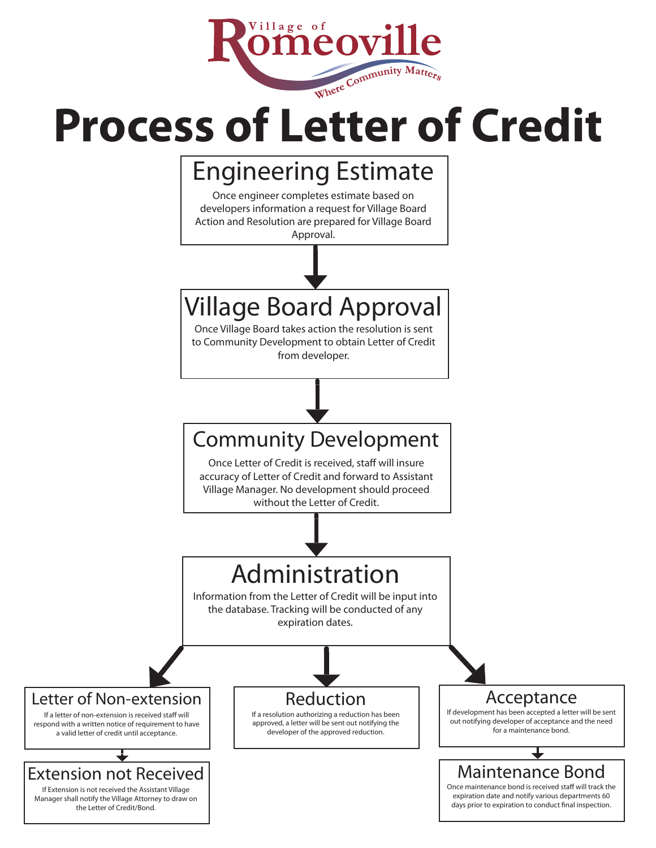

# **Process of Letter of Credit**

# Engineering Estimate

Once engineer completes estimate based on developers information a request for Village Board Action and Resolution are prepared for Village Board Approval.

# Village Board Approval

Once Village Board takes action the resolution is sent to Community Development to obtain Letter of Credit from developer.

# Community Development

Once Letter of Credit is received, staff will insure accuracy of Letter of Credit and forward to Assistant Village Manager. No development should proceed without the Letter of Credit.

# Administration

Information from the Letter of Credit will be input into the database. Tracking will be conducted of any expiration dates.

### Letter of Non-extension

If a letter of non-extension is received staff will respond with a written notice of requirement to have a valid letter of credit until acceptance.

## Extension not Received

If Extension is not received the Assistant Village Manager shall notify the Village Attorney to draw on the Letter of Credit/Bond.

## Reduction

If a resolution authorizing a reduction has been approved, a letter will be sent out notifying the developer of the approved reduction.

### Acceptance

If development has been accepted a letter will be sent out notifying developer of acceptance and the need for a maintenance bond.

## Maintenance Bond

Once maintenance bond is received staff will track the expiration date and notify various departments 60 days prior to expiration to conduct final inspection.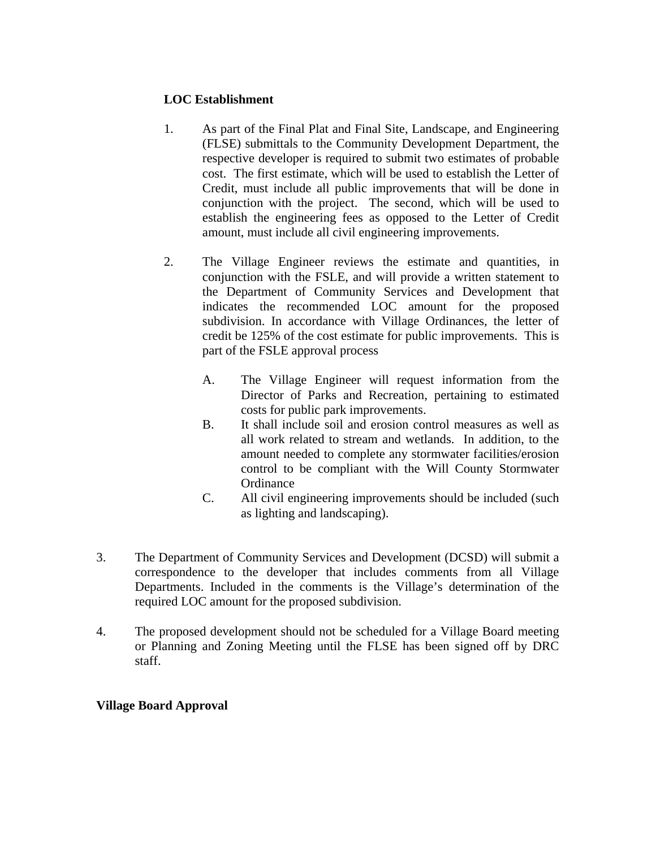#### **LOC Establishment**

- 1. As part of the Final Plat and Final Site, Landscape, and Engineering (FLSE) submittals to the Community Development Department, the respective developer is required to submit two estimates of probable cost. The first estimate, which will be used to establish the Letter of Credit, must include all public improvements that will be done in conjunction with the project. The second, which will be used to establish the engineering fees as opposed to the Letter of Credit amount, must include all civil engineering improvements.
- 2. The Village Engineer reviews the estimate and quantities, in conjunction with the FSLE, and will provide a written statement to the Department of Community Services and Development that indicates the recommended LOC amount for the proposed subdivision. In accordance with Village Ordinances, the letter of credit be 125% of the cost estimate for public improvements. This is part of the FSLE approval process
	- A. The Village Engineer will request information from the Director of Parks and Recreation, pertaining to estimated costs for public park improvements.
	- B. It shall include soil and erosion control measures as well as all work related to stream and wetlands. In addition, to the amount needed to complete any stormwater facilities/erosion control to be compliant with the Will County Stormwater **Ordinance**
	- C. All civil engineering improvements should be included (such as lighting and landscaping).
- 3. The Department of Community Services and Development (DCSD) will submit a correspondence to the developer that includes comments from all Village Departments. Included in the comments is the Village's determination of the required LOC amount for the proposed subdivision.
- 4. The proposed development should not be scheduled for a Village Board meeting or Planning and Zoning Meeting until the FLSE has been signed off by DRC staff.

#### **Village Board Approval**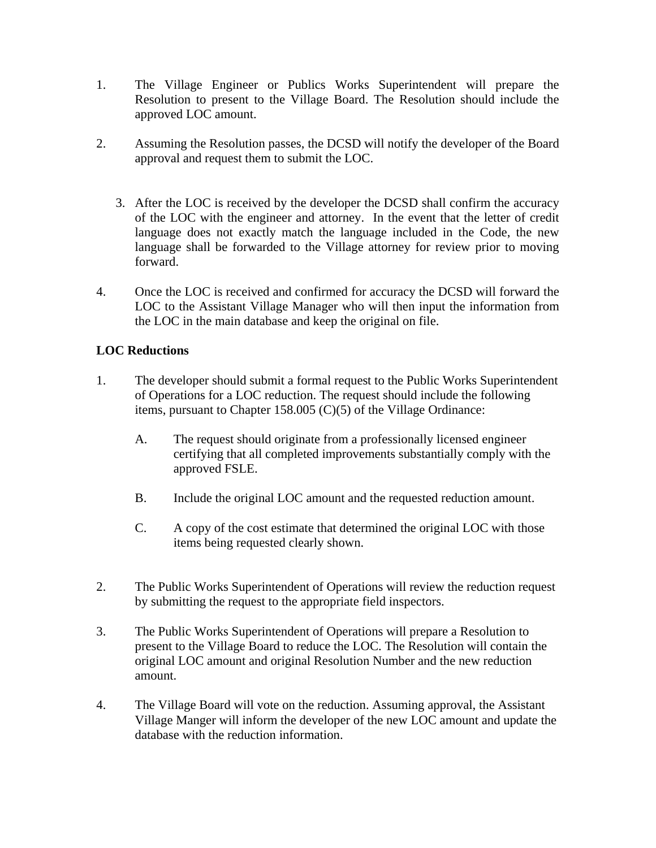- 1. The Village Engineer or Publics Works Superintendent will prepare the Resolution to present to the Village Board. The Resolution should include the approved LOC amount.
- 2. Assuming the Resolution passes, the DCSD will notify the developer of the Board approval and request them to submit the LOC.
	- 3. After the LOC is received by the developer the DCSD shall confirm the accuracy of the LOC with the engineer and attorney. In the event that the letter of credit language does not exactly match the language included in the Code, the new language shall be forwarded to the Village attorney for review prior to moving forward.
- 4. Once the LOC is received and confirmed for accuracy the DCSD will forward the LOC to the Assistant Village Manager who will then input the information from the LOC in the main database and keep the original on file.

#### **LOC Reductions**

- 1. The developer should submit a formal request to the Public Works Superintendent of Operations for a LOC reduction. The request should include the following items, pursuant to Chapter 158.005 (C)(5) of the Village Ordinance:
	- A. The request should originate from a professionally licensed engineer certifying that all completed improvements substantially comply with the approved FSLE.
	- B. Include the original LOC amount and the requested reduction amount.
	- C. A copy of the cost estimate that determined the original LOC with those items being requested clearly shown.
- 2. The Public Works Superintendent of Operations will review the reduction request by submitting the request to the appropriate field inspectors.
- 3. The Public Works Superintendent of Operations will prepare a Resolution to present to the Village Board to reduce the LOC. The Resolution will contain the original LOC amount and original Resolution Number and the new reduction amount.
- 4. The Village Board will vote on the reduction. Assuming approval, the Assistant Village Manger will inform the developer of the new LOC amount and update the database with the reduction information.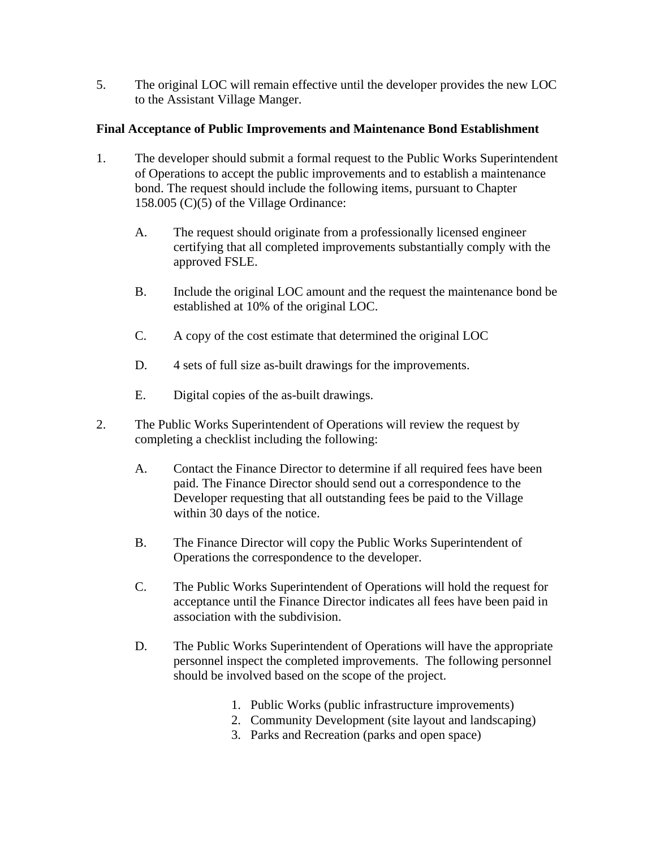5. The original LOC will remain effective until the developer provides the new LOC to the Assistant Village Manger.

#### **Final Acceptance of Public Improvements and Maintenance Bond Establishment**

- 1. The developer should submit a formal request to the Public Works Superintendent of Operations to accept the public improvements and to establish a maintenance bond. The request should include the following items, pursuant to Chapter 158.005 (C)(5) of the Village Ordinance:
	- A. The request should originate from a professionally licensed engineer certifying that all completed improvements substantially comply with the approved FSLE.
	- B. Include the original LOC amount and the request the maintenance bond be established at 10% of the original LOC.
	- C. A copy of the cost estimate that determined the original LOC
	- D. 4 sets of full size as-built drawings for the improvements.
	- E. Digital copies of the as-built drawings.
- 2. The Public Works Superintendent of Operations will review the request by completing a checklist including the following:
	- A. Contact the Finance Director to determine if all required fees have been paid. The Finance Director should send out a correspondence to the Developer requesting that all outstanding fees be paid to the Village within 30 days of the notice.
	- B. The Finance Director will copy the Public Works Superintendent of Operations the correspondence to the developer.
	- C. The Public Works Superintendent of Operations will hold the request for acceptance until the Finance Director indicates all fees have been paid in association with the subdivision.
	- D. The Public Works Superintendent of Operations will have the appropriate personnel inspect the completed improvements. The following personnel should be involved based on the scope of the project.
		- 1. Public Works (public infrastructure improvements)
		- 2. Community Development (site layout and landscaping)
		- 3. Parks and Recreation (parks and open space)